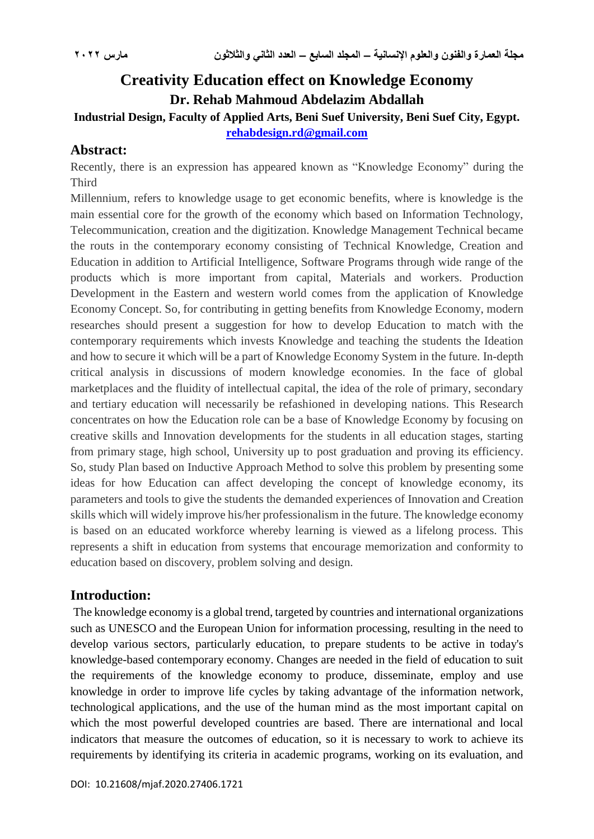# **Creativity Education effect on Knowledge Economy Dr. Rehab Mahmoud Abdelazim Abdallah**

# **Industrial Design, Faculty of Applied Arts, Beni Suef University, Beni Suef City, Egypt.**

**[rehabdesign.rd@gmail.com](mailto:rehabdesign.rd@gmail.com)**

# **Abstract:**

Recently, there is an expression has appeared known as "Knowledge Economy" during the **Third** 

Millennium, refers to knowledge usage to get economic benefits, where is knowledge is the main essential core for the growth of the economy which based on Information Technology, Telecommunication, creation and the digitization. Knowledge Management Technical became the routs in the contemporary economy consisting of Technical Knowledge, Creation and Education in addition to Artificial Intelligence, Software Programs through wide range of the products which is more important from capital, Materials and workers. Production Development in the Eastern and western world comes from the application of Knowledge Economy Concept. So, for contributing in getting benefits from Knowledge Economy, modern researches should present a suggestion for how to develop Education to match with the contemporary requirements which invests Knowledge and teaching the students the Ideation and how to secure it which will be a part of Knowledge Economy System in the future. In-depth critical analysis in discussions of modern knowledge economies. In the face of global marketplaces and the fluidity of intellectual capital, the idea of the role of primary, secondary and tertiary education will necessarily be refashioned in developing nations. This Research concentrates on how the Education role can be a base of Knowledge Economy by focusing on creative skills and Innovation developments for the students in all education stages, starting from primary stage, high school, University up to post graduation and proving its efficiency. So, study Plan based on Inductive Approach Method to solve this problem by presenting some ideas for how Education can affect developing the concept of knowledge economy, its parameters and tools to give the students the demanded experiences of Innovation and Creation skills which will widely improve his/her professionalism in the future. The knowledge economy is based on an educated workforce whereby learning is viewed as a lifelong process. This represents a shift in education from systems that encourage memorization and conformity to education based on discovery, problem solving and design.

# **Introduction:**

The knowledge economy is a global trend, targeted by countries and international organizations such as UNESCO and the European Union for information processing, resulting in the need to develop various sectors, particularly education, to prepare students to be active in today's knowledge-based contemporary economy. Changes are needed in the field of education to suit the requirements of the knowledge economy to produce, disseminate, employ and use knowledge in order to improve life cycles by taking advantage of the information network, technological applications, and the use of the human mind as the most important capital on which the most powerful developed countries are based. There are international and local indicators that measure the outcomes of education, so it is necessary to work to achieve its requirements by identifying its criteria in academic programs, working on its evaluation, and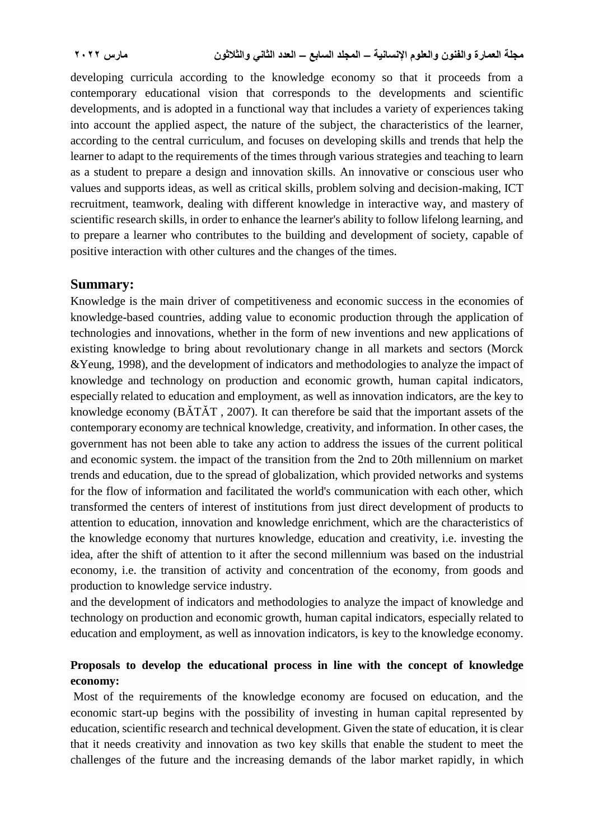developing curricula according to the knowledge economy so that it proceeds from a contemporary educational vision that corresponds to the developments and scientific developments, and is adopted in a functional way that includes a variety of experiences taking into account the applied aspect, the nature of the subject, the characteristics of the learner, according to the central curriculum, and focuses on developing skills and trends that help the learner to adapt to the requirements of the times through various strategies and teaching to learn as a student to prepare a design and innovation skills. An innovative or conscious user who values and supports ideas, as well as critical skills, problem solving and decision-making, ICT recruitment, teamwork, dealing with different knowledge in interactive way, and mastery of scientific research skills, in order to enhance the learner's ability to follow lifelong learning, and to prepare a learner who contributes to the building and development of society, capable of positive interaction with other cultures and the changes of the times.

### **Summary:**

Knowledge is the main driver of competitiveness and economic success in the economies of knowledge-based countries, adding value to economic production through the application of technologies and innovations, whether in the form of new inventions and new applications of existing knowledge to bring about revolutionary change in all markets and sectors (Morck &Yeung, 1998), and the development of indicators and methodologies to analyze the impact of knowledge and technology on production and economic growth, human capital indicators, especially related to education and employment, as well as innovation indicators, are the key to knowledge economy (BĂTĂT , 2007). It can therefore be said that the important assets of the contemporary economy are technical knowledge, creativity, and information. In other cases, the government has not been able to take any action to address the issues of the current political and economic system. the impact of the transition from the 2nd to 20th millennium on market trends and education, due to the spread of globalization, which provided networks and systems for the flow of information and facilitated the world's communication with each other, which transformed the centers of interest of institutions from just direct development of products to attention to education, innovation and knowledge enrichment, which are the characteristics of the knowledge economy that nurtures knowledge, education and creativity, i.e. investing the idea, after the shift of attention to it after the second millennium was based on the industrial economy, i.e. the transition of activity and concentration of the economy, from goods and production to knowledge service industry.

and the development of indicators and methodologies to analyze the impact of knowledge and technology on production and economic growth, human capital indicators, especially related to education and employment, as well as innovation indicators, is key to the knowledge economy.

## **Proposals to develop the educational process in line with the concept of knowledge economy:**

Most of the requirements of the knowledge economy are focused on education, and the economic start-up begins with the possibility of investing in human capital represented by education, scientific research and technical development. Given the state of education, it is clear that it needs creativity and innovation as two key skills that enable the student to meet the challenges of the future and the increasing demands of the labor market rapidly, in which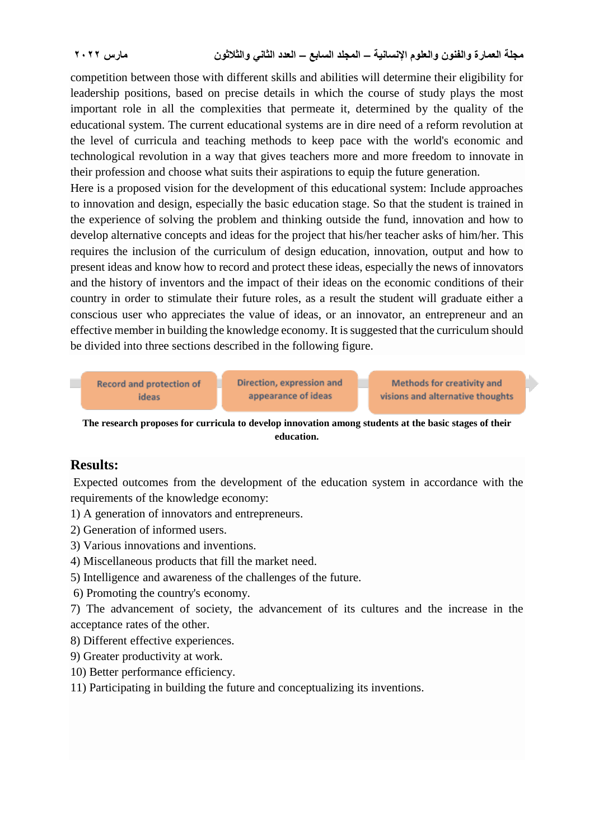competition between those with different skills and abilities will determine their eligibility for leadership positions, based on precise details in which the course of study plays the most important role in all the complexities that permeate it, determined by the quality of the educational system. The current educational systems are in dire need of a reform revolution at the level of curricula and teaching methods to keep pace with the world's economic and technological revolution in a way that gives teachers more and more freedom to innovate in their profession and choose what suits their aspirations to equip the future generation.

Here is a proposed vision for the development of this educational system: Include approaches to innovation and design, especially the basic education stage. So that the student is trained in the experience of solving the problem and thinking outside the fund, innovation and how to develop alternative concepts and ideas for the project that his/her teacher asks of him/her. This requires the inclusion of the curriculum of design education, innovation, output and how to present ideas and know how to record and protect these ideas, especially the news of innovators and the history of inventors and the impact of their ideas on the economic conditions of their country in order to stimulate their future roles, as a result the student will graduate either a conscious user who appreciates the value of ideas, or an innovator, an entrepreneur and an effective member in building the knowledge economy. It is suggested that the curriculum should be divided into three sections described in the following figure.

**Record and protection of** Direction, expression and ideas appearance of ideas

**Methods for creativity and** visions and alternative thoughts

**The research proposes for curricula to develop innovation among students at the basic stages of their education.**

### **Results:**

Expected outcomes from the development of the education system in accordance with the requirements of the knowledge economy:

1) A generation of innovators and entrepreneurs.

2) Generation of informed users.

3) Various innovations and inventions.

- 4) Miscellaneous products that fill the market need.
- 5) Intelligence and awareness of the challenges of the future.

6) Promoting the country's economy.

7) The advancement of society, the advancement of its cultures and the increase in the acceptance rates of the other.

8) Different effective experiences.

9) Greater productivity at work.

10) Better performance efficiency.

11) Participating in building the future and conceptualizing its inventions.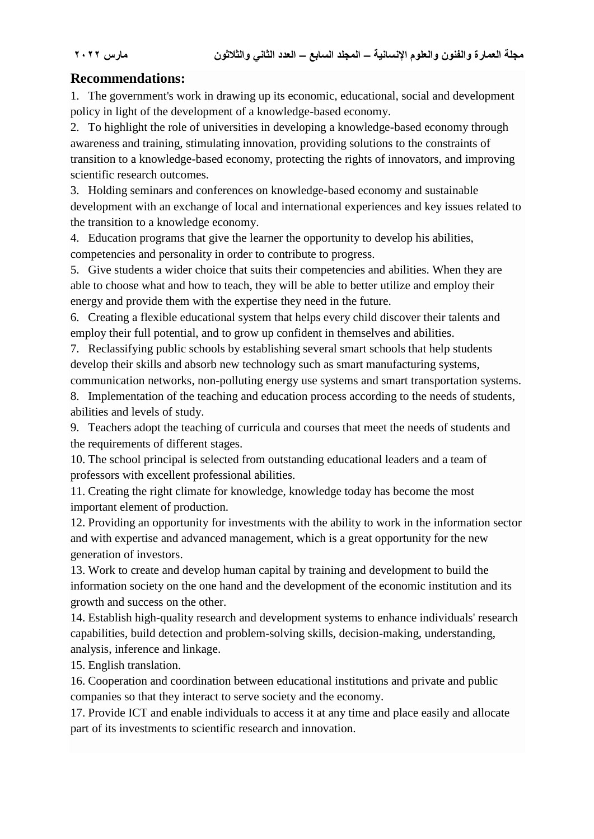# **Recommendations:**

1. The government's work in drawing up its economic, educational, social and development policy in light of the development of a knowledge-based economy.

2. To highlight the role of universities in developing a knowledge-based economy through awareness and training, stimulating innovation, providing solutions to the constraints of transition to a knowledge-based economy, protecting the rights of innovators, and improving scientific research outcomes.

3. Holding seminars and conferences on knowledge-based economy and sustainable development with an exchange of local and international experiences and key issues related to the transition to a knowledge economy.

4. Education programs that give the learner the opportunity to develop his abilities, competencies and personality in order to contribute to progress.

5. Give students a wider choice that suits their competencies and abilities. When they are able to choose what and how to teach, they will be able to better utilize and employ their energy and provide them with the expertise they need in the future.

6. Creating a flexible educational system that helps every child discover their talents and employ their full potential, and to grow up confident in themselves and abilities.

7. Reclassifying public schools by establishing several smart schools that help students develop their skills and absorb new technology such as smart manufacturing systems, communication networks, non-polluting energy use systems and smart transportation systems.

8. Implementation of the teaching and education process according to the needs of students, abilities and levels of study.

9. Teachers adopt the teaching of curricula and courses that meet the needs of students and the requirements of different stages.

10. The school principal is selected from outstanding educational leaders and a team of professors with excellent professional abilities.

11. Creating the right climate for knowledge, knowledge today has become the most important element of production.

12. Providing an opportunity for investments with the ability to work in the information sector and with expertise and advanced management, which is a great opportunity for the new generation of investors.

13. Work to create and develop human capital by training and development to build the information society on the one hand and the development of the economic institution and its growth and success on the other.

14. Establish high-quality research and development systems to enhance individuals' research capabilities, build detection and problem-solving skills, decision-making, understanding, analysis, inference and linkage.

15. English translation.

16. Cooperation and coordination between educational institutions and private and public companies so that they interact to serve society and the economy.

17. Provide ICT and enable individuals to access it at any time and place easily and allocate part of its investments to scientific research and innovation.